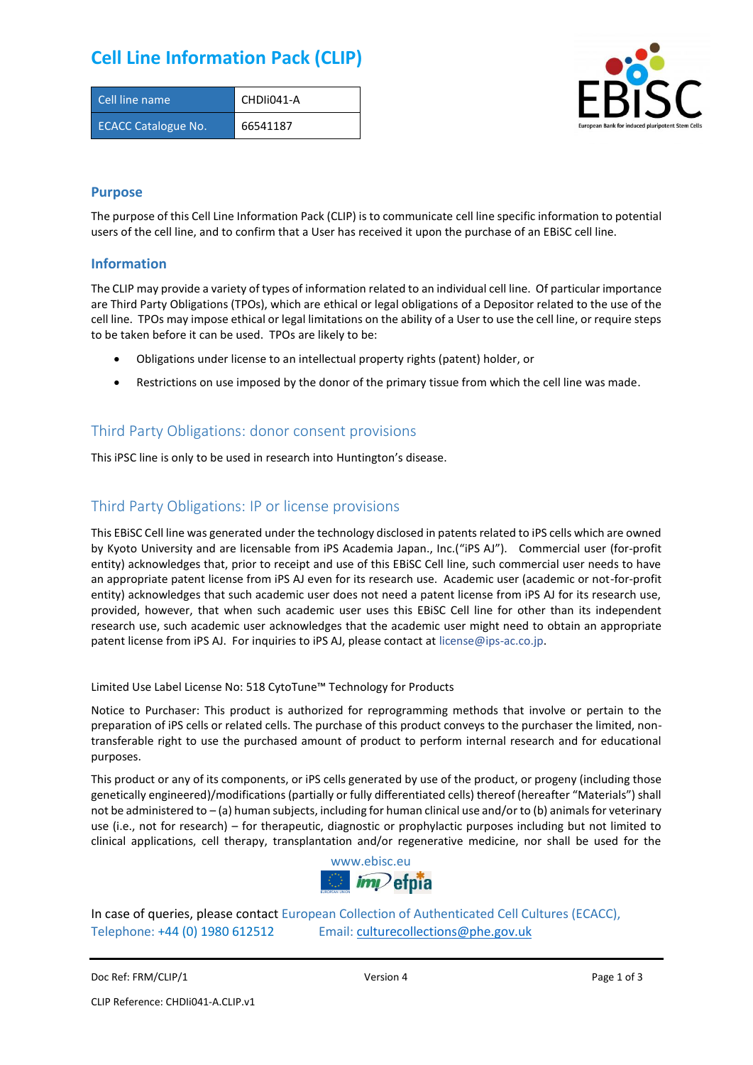## **Cell Line Information Pack (CLIP)**

| Cell line name             | CHDII041-A |
|----------------------------|------------|
| <b>ECACC Catalogue No.</b> | 66541187   |



### **Purpose**

The purpose of this Cell Line Information Pack (CLIP) is to communicate cell line specific information to potential users of the cell line, and to confirm that a User has received it upon the purchase of an EBiSC cell line.

#### **Information**

The CLIP may provide a variety of types of information related to an individual cell line. Of particular importance are Third Party Obligations (TPOs), which are ethical or legal obligations of a Depositor related to the use of the cell line. TPOs may impose ethical or legal limitations on the ability of a User to use the cell line, or require steps to be taken before it can be used. TPOs are likely to be:

- Obligations under license to an intellectual property rights (patent) holder, or
- Restrictions on use imposed by the donor of the primary tissue from which the cell line was made.

### Third Party Obligations: donor consent provisions

This iPSC line is only to be used in research into Huntington's disease.

### Third Party Obligations: IP or license provisions

This EBiSC Cell line was generated under the technology disclosed in patents related to iPS cells which are owned by Kyoto University and are licensable from iPS Academia Japan., Inc.("iPS AJ"). Commercial user (for-profit entity) acknowledges that, prior to receipt and use of this EBiSC Cell line, such commercial user needs to have an appropriate patent license from iPS AJ even for its research use. Academic user (academic or not-for-profit entity) acknowledges that such academic user does not need a patent license from iPS AJ for its research use, provided, however, that when such academic user uses this EBiSC Cell line for other than its independent research use, such academic user acknowledges that the academic user might need to obtain an appropriate patent license from iPS AJ. For inquiries to iPS AJ, please contact at [license@ips-ac.co.jp.](mailto:license@ips-ac.co.jp)

Limited Use Label License No: 518 CytoTune™ Technology for Products

Notice to Purchaser: This product is authorized for reprogramming methods that involve or pertain to the preparation of iPS cells or related cells. The purchase of this product conveys to the purchaser the limited, nontransferable right to use the purchased amount of product to perform internal research and for educational purposes.

This product or any of its components, or iPS cells generated by use of the product, or progeny (including those genetically engineered)/modifications (partially or fully differentiated cells) thereof (hereafter "Materials") shall not be administered to – (a) human subjects, including for human clinical use and/or to (b) animals for veterinary use (i.e., not for research) – for therapeutic, diagnostic or prophylactic purposes including but not limited to clinical applications, cell therapy, transplantation and/or regenerative medicine, nor shall be used for the



In case of queries, please contact European Collection of Authenticated Cell Cultures (ECACC), Telephone: +44 (0) 1980 612512 Email: [culturecollections@phe.gov.uk](mailto:culturecollections@phe.gov.uk)

Doc Ref: FRM/CLIP/1 **Docessition 2** Page 1 of 3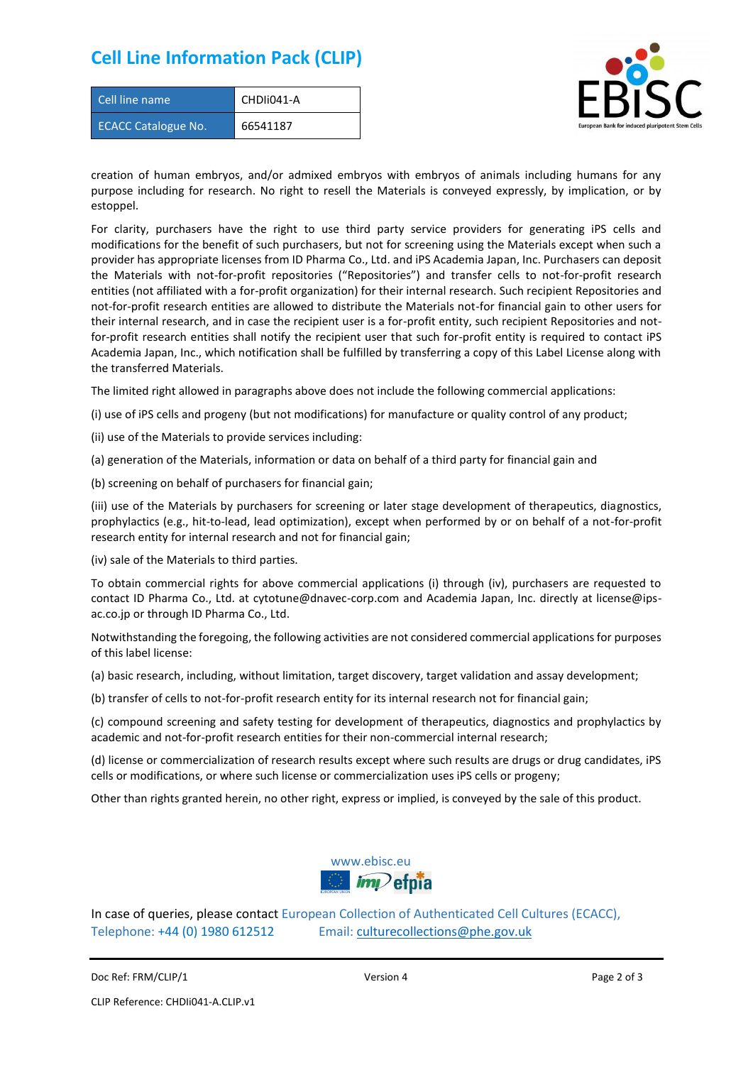### **Cell Line Information Pack (CLIP)**

| Cell line name             | CHDIi041-A |
|----------------------------|------------|
| <b>ECACC Catalogue No.</b> | 66541187   |



creation of human embryos, and/or admixed embryos with embryos of animals including humans for any purpose including for research. No right to resell the Materials is conveyed expressly, by implication, or by estoppel.

For clarity, purchasers have the right to use third party service providers for generating iPS cells and modifications for the benefit of such purchasers, but not for screening using the Materials except when such a provider has appropriate licenses from ID Pharma Co., Ltd. and iPS Academia Japan, Inc. Purchasers can deposit the Materials with not-for-profit repositories ("Repositories") and transfer cells to not-for-profit research entities (not affiliated with a for-profit organization) for their internal research. Such recipient Repositories and not-for-profit research entities are allowed to distribute the Materials not-for financial gain to other users for their internal research, and in case the recipient user is a for-profit entity, such recipient Repositories and notfor-profit research entities shall notify the recipient user that such for-profit entity is required to contact iPS Academia Japan, Inc., which notification shall be fulfilled by transferring a copy of this Label License along with the transferred Materials.

The limited right allowed in paragraphs above does not include the following commercial applications:

(i) use of iPS cells and progeny (but not modifications) for manufacture or quality control of any product;

- (ii) use of the Materials to provide services including:
- (a) generation of the Materials, information or data on behalf of a third party for financial gain and

(b) screening on behalf of purchasers for financial gain;

(iii) use of the Materials by purchasers for screening or later stage development of therapeutics, diagnostics, prophylactics (e.g., hit-to-lead, lead optimization), except when performed by or on behalf of a not-for-profit research entity for internal research and not for financial gain;

(iv) sale of the Materials to third parties.

To obtain commercial rights for above commercial applications (i) through (iv), purchasers are requested to contact ID Pharma Co., Ltd. at cytotune@dnavec-corp.com and Academia Japan, Inc. directly at license@ipsac.co.jp or through ID Pharma Co., Ltd.

Notwithstanding the foregoing, the following activities are not considered commercial applications for purposes of this label license:

(a) basic research, including, without limitation, target discovery, target validation and assay development;

(b) transfer of cells to not-for-profit research entity for its internal research not for financial gain;

(c) compound screening and safety testing for development of therapeutics, diagnostics and prophylactics by academic and not-for-profit research entities for their non-commercial internal research;

(d) license or commercialization of research results except where such results are drugs or drug candidates, iPS cells or modifications, or where such license or commercialization uses iPS cells or progeny;

Other than rights granted herein, no other right, express or implied, is conveyed by the sale of this product.



In case of queries, please contact European Collection of Authenticated Cell Cultures (ECACC), Telephone: +44 (0) 1980 612512 Email: [culturecollections@phe.gov.uk](mailto:culturecollections@phe.gov.uk)